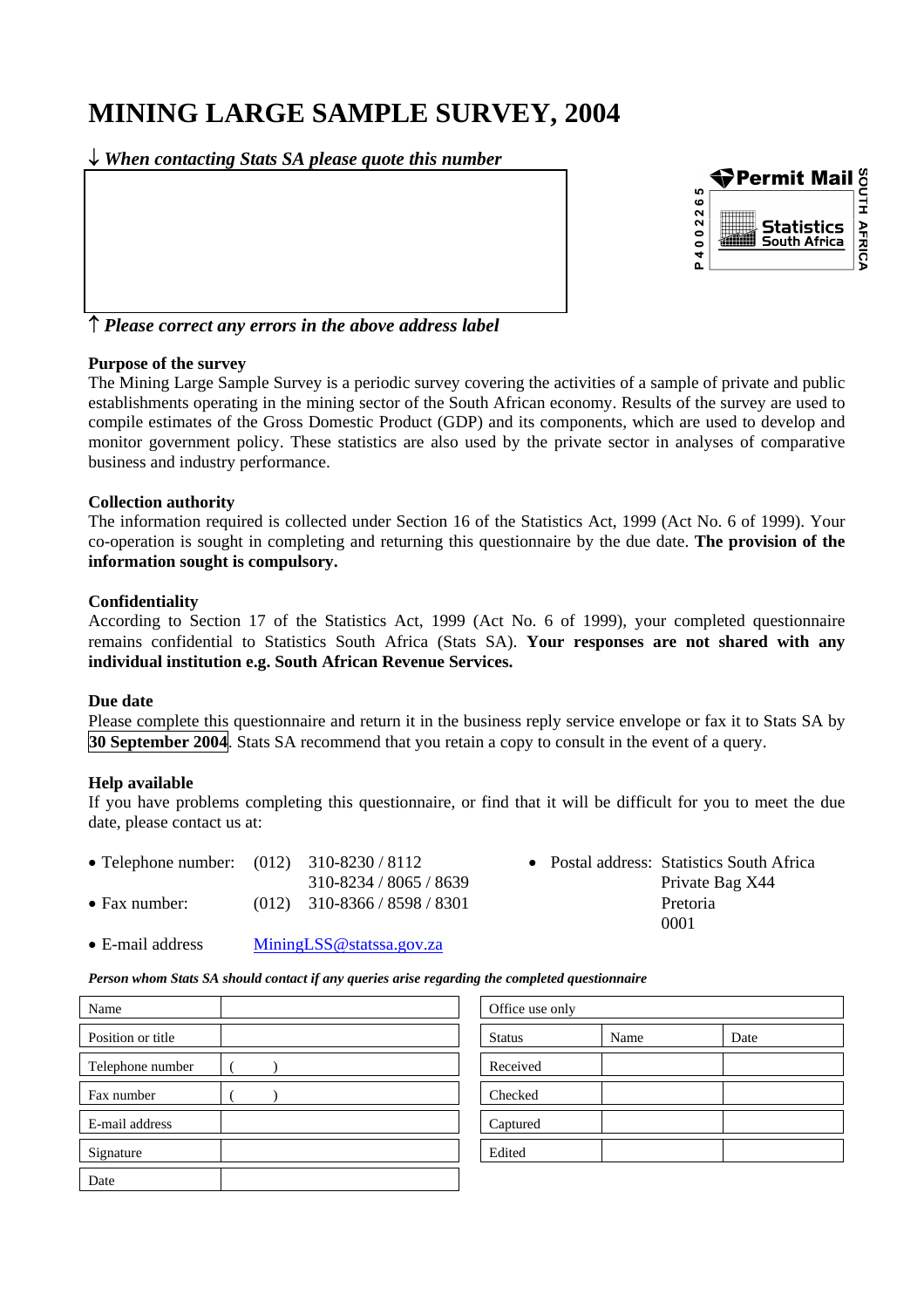# **MINING LARGE SAMPLE SURVEY, 2004**

↓ *When contacting Stats SA please quote this number*



↑ *Please correct any errors in the above address label*

#### **Purpose of the survey**

The Mining Large Sample Survey is a periodic survey covering the activities of a sample of private and public establishments operating in the mining sector of the South African economy. Results of the survey are used to compile estimates of the Gross Domestic Product (GDP) and its components, which are used to develop and monitor government policy. These statistics are also used by the private sector in analyses of comparative business and industry performance.

#### **Collection authority**

The information required is collected under Section 16 of the Statistics Act, 1999 (Act No. 6 of 1999). Your co-operation is sought in completing and returning this questionnaire by the due date. **The provision of the information sought is compulsory.**

#### **Confidentiality**

According to Section 17 of the Statistics Act, 1999 (Act No. 6 of 1999), your completed questionnaire remains confidential to Statistics South Africa (Stats SA). **Your responses are not shared with any individual institution e.g. South African Revenue Services.** 

#### **Due date**

Please complete this questionnaire and return it in the business reply service envelope or fax it to Stats SA by **30 September 2004**. Stats SA recommend that you retain a copy to consult in the event of a query.

#### **Help available**

If you have problems completing this questionnaire, or find that it will be difficult for you to meet the due date, please contact us at:

- Telephone number: (012) 310-8230 / 8112 Postal address: Statistics South Africa • Fax number: (012) 310-8366 / 8598 / 8301 Pretoria
- 310-8234 / 8065 / 8639 Private Bag X44 0001
- E-mail address[MiningLSS@statssa.gov.za](mailto:MiningLSS@statssa.gov.za)

*Person whom Stats SA should contact if any queries arise regarding the completed questionnaire* 

| Name              |  | Office use only |      |      |
|-------------------|--|-----------------|------|------|
| Position or title |  | <b>Status</b>   | Name | Date |
| Telephone number  |  | Received        |      |      |
| Fax number        |  | Checked         |      |      |
| E-mail address    |  | Captured        |      |      |
| Signature         |  | Edited          |      |      |
| Date              |  |                 |      |      |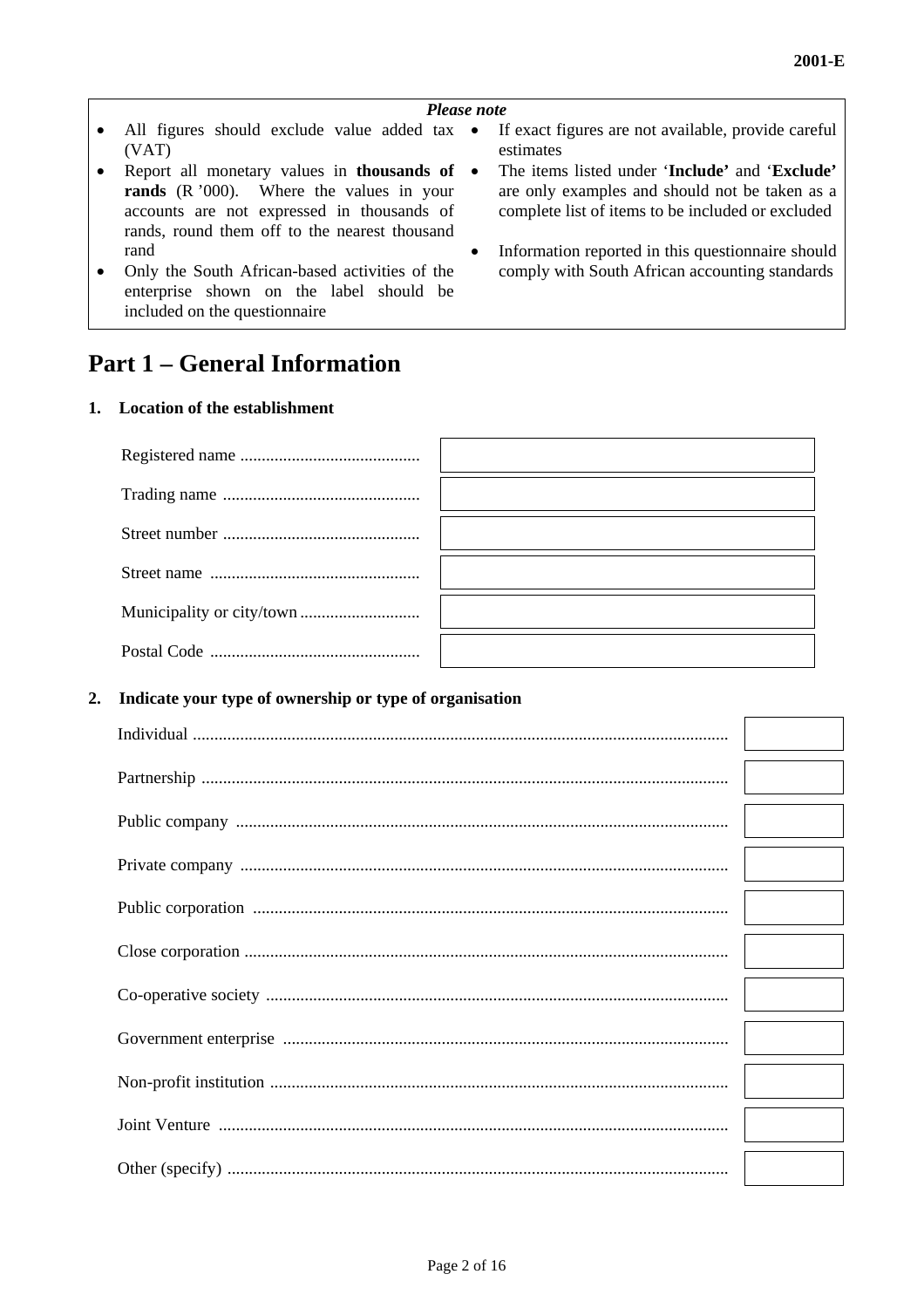#### *Please note*

- All figures should exclude value added tax (VAT)
- Report all monetary values in **thousands of rands** (R '000). Where the values in your accounts are not expressed in thousands of rands, round them off to the nearest thousand rand
- Only the South African-based activities of the comply with South African accounting standards enterprise shown on the label should be included on the questionnaire

## **Part 1 – General Information**

#### **1. Location of the establishment**

#### **2 . Indicate your type of ownership or type of organisation**

- If exact figures are not available, provide careful estimates
- The items listed under '**Include'** and '**Exclude'** are only examples and should not be taken as a complete list of items to be included or excluded
- Information reported in this questionnaire should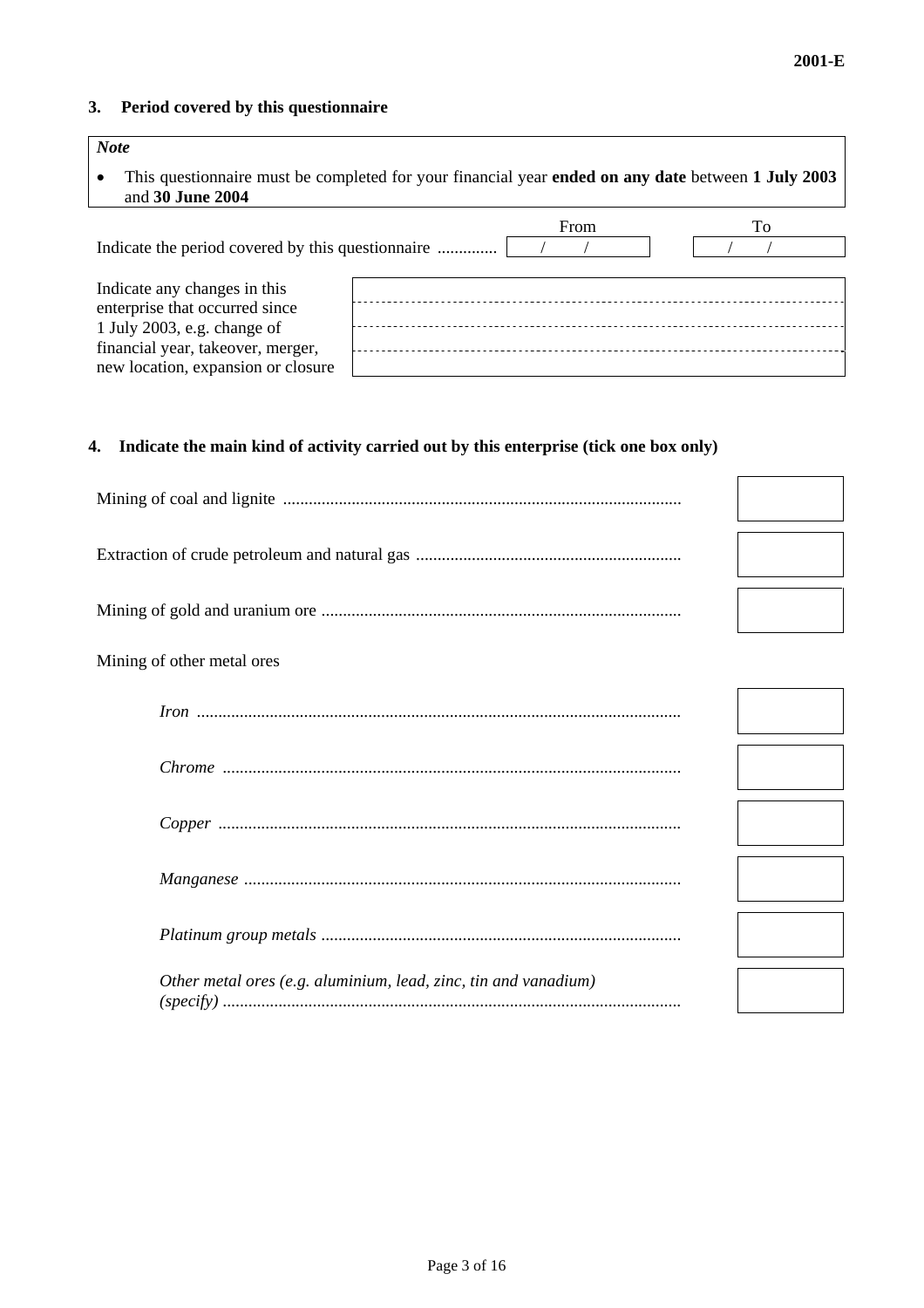#### **3. Period covered by this questionnaire**

| <b>Note</b>                                                                                                            |  |      |    |  |
|------------------------------------------------------------------------------------------------------------------------|--|------|----|--|
| This questionnaire must be completed for your financial year ended on any date between 1 July 2003<br>and 30 June 2004 |  |      |    |  |
|                                                                                                                        |  | From | Tо |  |
|                                                                                                                        |  |      |    |  |
|                                                                                                                        |  |      |    |  |
| Indicate any changes in this                                                                                           |  |      |    |  |
| enterprise that occurred since                                                                                         |  |      |    |  |
| 1 July 2003, e.g. change of                                                                                            |  |      |    |  |
| financial year, takeover, merger,                                                                                      |  |      |    |  |
| new location, expansion or closure                                                                                     |  |      |    |  |

#### **4. Indicate the main kind of activity carried out by this enterprise (tick one box only)**

| Mining of other metal ores                                      |  |
|-----------------------------------------------------------------|--|
|                                                                 |  |
|                                                                 |  |
|                                                                 |  |
|                                                                 |  |
|                                                                 |  |
| Other metal ores (e.g. aluminium, lead, zinc, tin and vanadium) |  |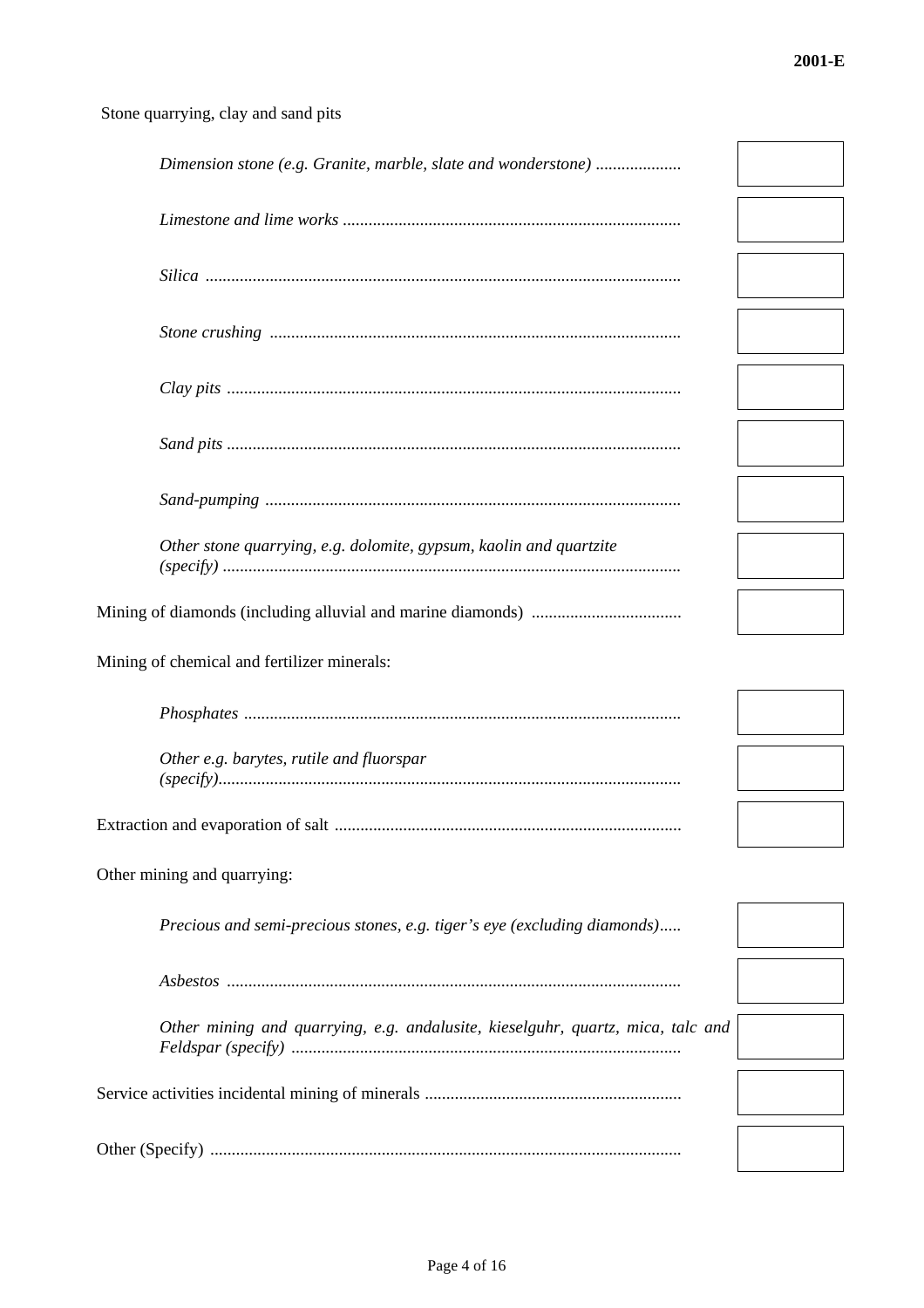÷

### Stone quarrying, clay and sand pits

| Dimension stone (e.g. Granite, marble, slate and wonderstone)                   |  |
|---------------------------------------------------------------------------------|--|
|                                                                                 |  |
|                                                                                 |  |
|                                                                                 |  |
|                                                                                 |  |
|                                                                                 |  |
|                                                                                 |  |
| Other stone quarrying, e.g. dolomite, gypsum, kaolin and quartzite              |  |
|                                                                                 |  |
| Mining of chemical and fertilizer minerals:                                     |  |
|                                                                                 |  |
| Other e.g. barytes, rutile and fluorspar                                        |  |
|                                                                                 |  |
| Other mining and quarrying:                                                     |  |
| Precious and semi-precious stones, e.g. tiger's eye (excluding diamonds)        |  |
|                                                                                 |  |
| Other mining and quarrying, e.g. andalusite, kieselguhr, quartz, mica, talc and |  |
|                                                                                 |  |
|                                                                                 |  |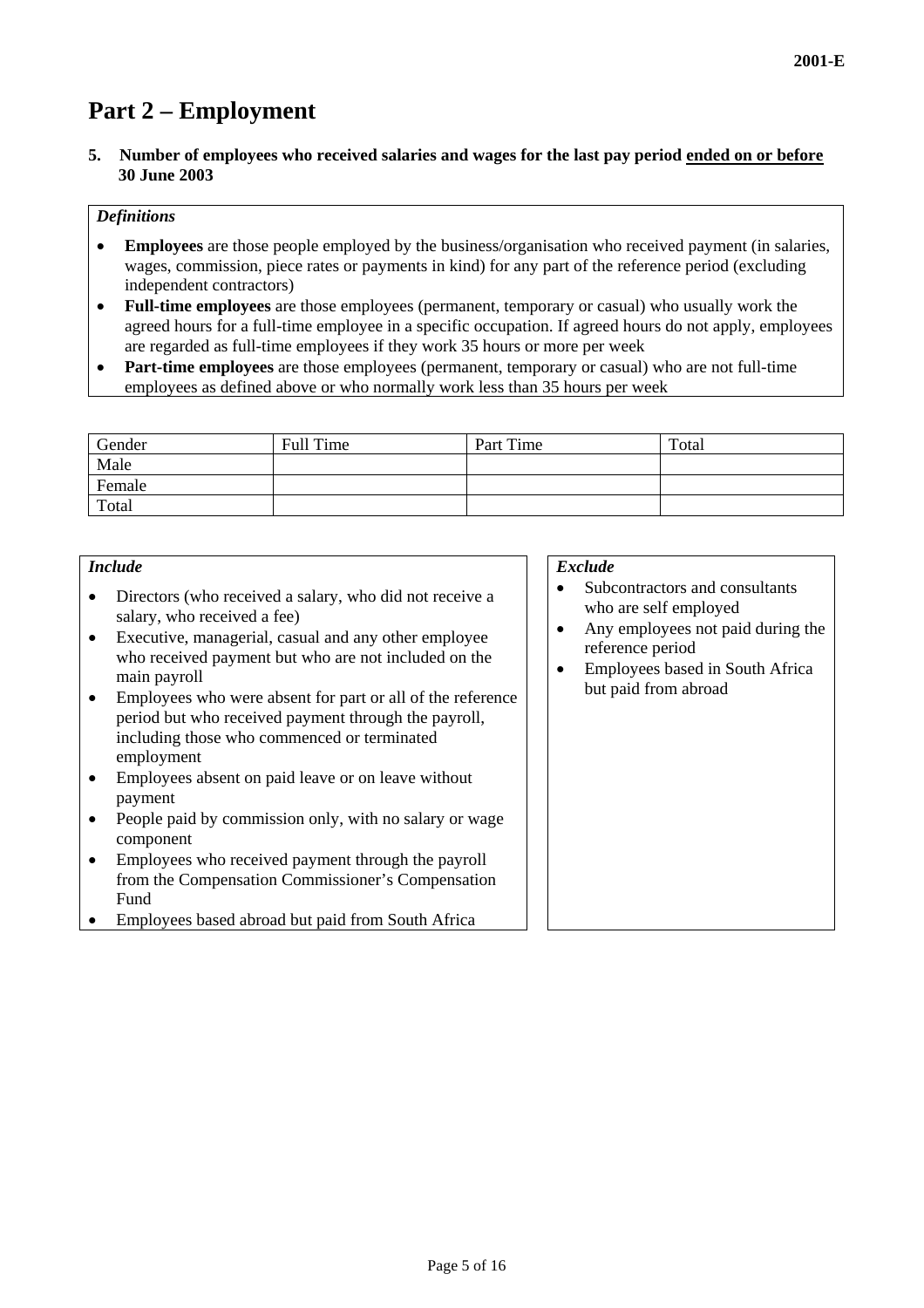# **Part 2 – Employment**

**5. Number of employees who received salaries and wages for the last pay period ended on or before 30 June 2003** 

#### *Definitions*

- **Employees** are those people employed by the business/organisation who received payment (in salaries, wages, commission, piece rates or payments in kind) for any part of the reference period (excluding independent contractors)
- **Full-time employees** are those employees (permanent, temporary or casual) who usually work the agreed hours for a full-time employee in a specific occupation. If agreed hours do not apply, employees are regarded as full-time employees if they work 35 hours or more per week
- **Part-time employees** are those employees (permanent, temporary or casual) who are not full-time employees as defined above or who normally work less than 35 hours per week

| Gender | Full Time | Part Time | Total |
|--------|-----------|-----------|-------|
| Male   |           |           |       |
| Female |           |           |       |
| Total  |           |           |       |

#### *Include*

- Directors (who received a salary, who did not receive a salary, who received a fee)
- Executive, managerial, casual and any other employee who received payment but who are not included on the main payroll
- Employees who were absent for part or all of the reference period but who received payment through the payroll, including those who commenced or terminated employment
- Employees absent on paid leave or on leave without payment
- People paid by commission only, with no salary or wage component
- Employees who received payment through the payroll from the Compensation Commissioner's Compensation Fund
- Employees based abroad but paid from South Africa

#### *Exclude*

- Subcontractors and consultants who are self employed
- Any employees not paid during the reference period
- Employees based in South Africa but paid from abroad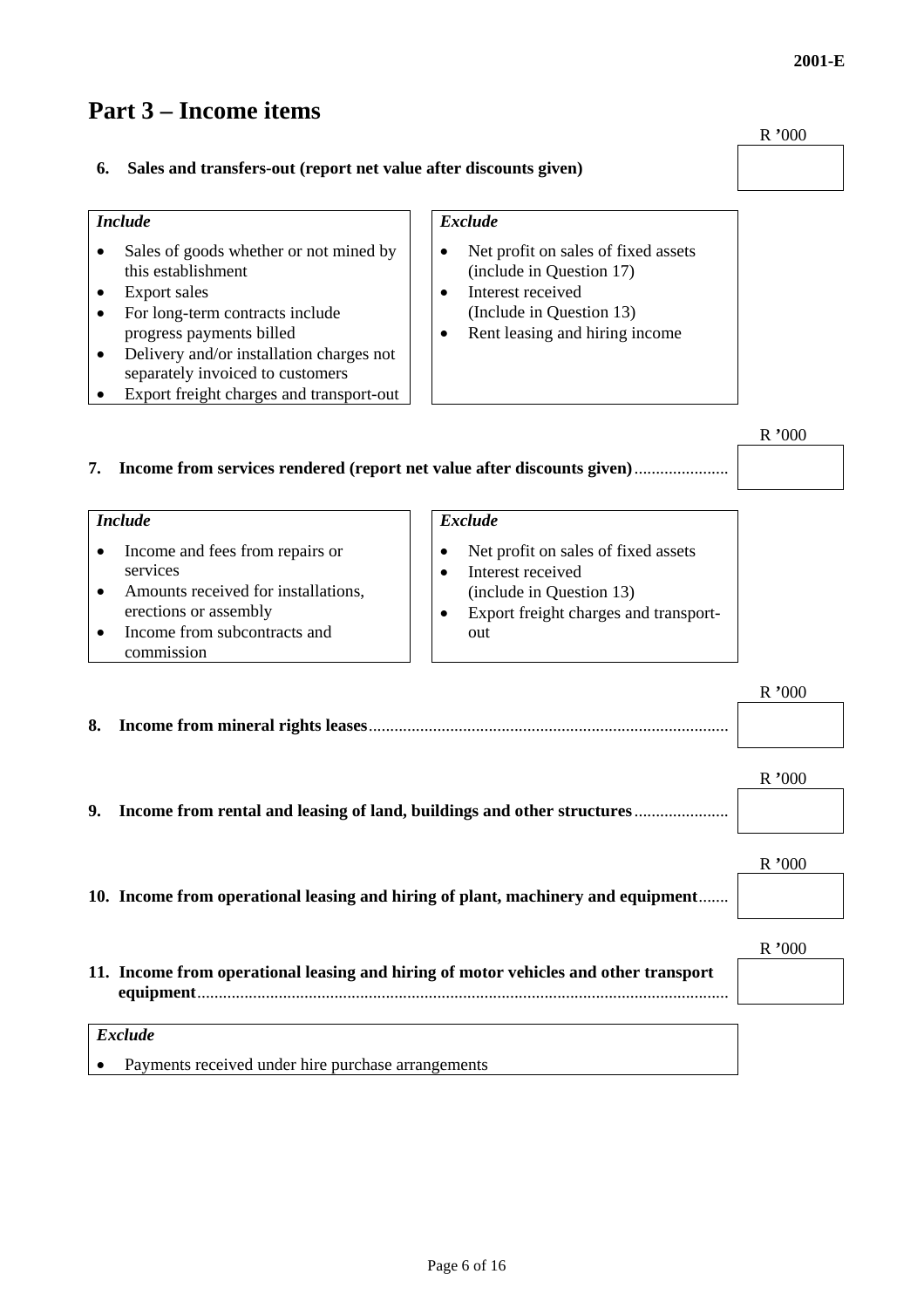# **Part 3 – Income items**

| Sales and transfers-out (report net value after discounts given)                                                                                        |       |
|---------------------------------------------------------------------------------------------------------------------------------------------------------|-------|
| <b>Exclude</b>                                                                                                                                          |       |
| Net profit on sales of fixed assets<br>(include in Question 17)<br>Interest received<br>(Include in Question 13)<br>Rent leasing and hiring income<br>٠ |       |
|                                                                                                                                                         | R'000 |
|                                                                                                                                                         |       |

### **7. Income from services rendered (report net value after discounts given)**......................

| <i>Include</i>                                                                                                                                                                      | <b>Exclude</b>                                                                                                                                         |                     |
|-------------------------------------------------------------------------------------------------------------------------------------------------------------------------------------|--------------------------------------------------------------------------------------------------------------------------------------------------------|---------------------|
| Income and fees from repairs or<br>services<br>Amounts received for installations,<br>$\bullet$<br>erections or assembly<br>Income from subcontracts and<br>$\bullet$<br>commission | Net profit on sales of fixed assets<br>Interest received<br>$\bullet$<br>(include in Question 13)<br>Export freight charges and transport-<br>٠<br>out |                     |
| 8.<br>Income from mineral rights leases                                                                                                                                             |                                                                                                                                                        | R'000<br>$R_{1000}$ |

# **9. Income from rental and leasing of land, buildings and other structures**......................

| 10. Income from operational leasing and hiring of plant, machinery and equipment     |       |
|--------------------------------------------------------------------------------------|-------|
| 11. Income from operational leasing and hiring of motor vehicles and other transport | 700 N |

#### *Exclude*

• Payments received under hire purchase arrangements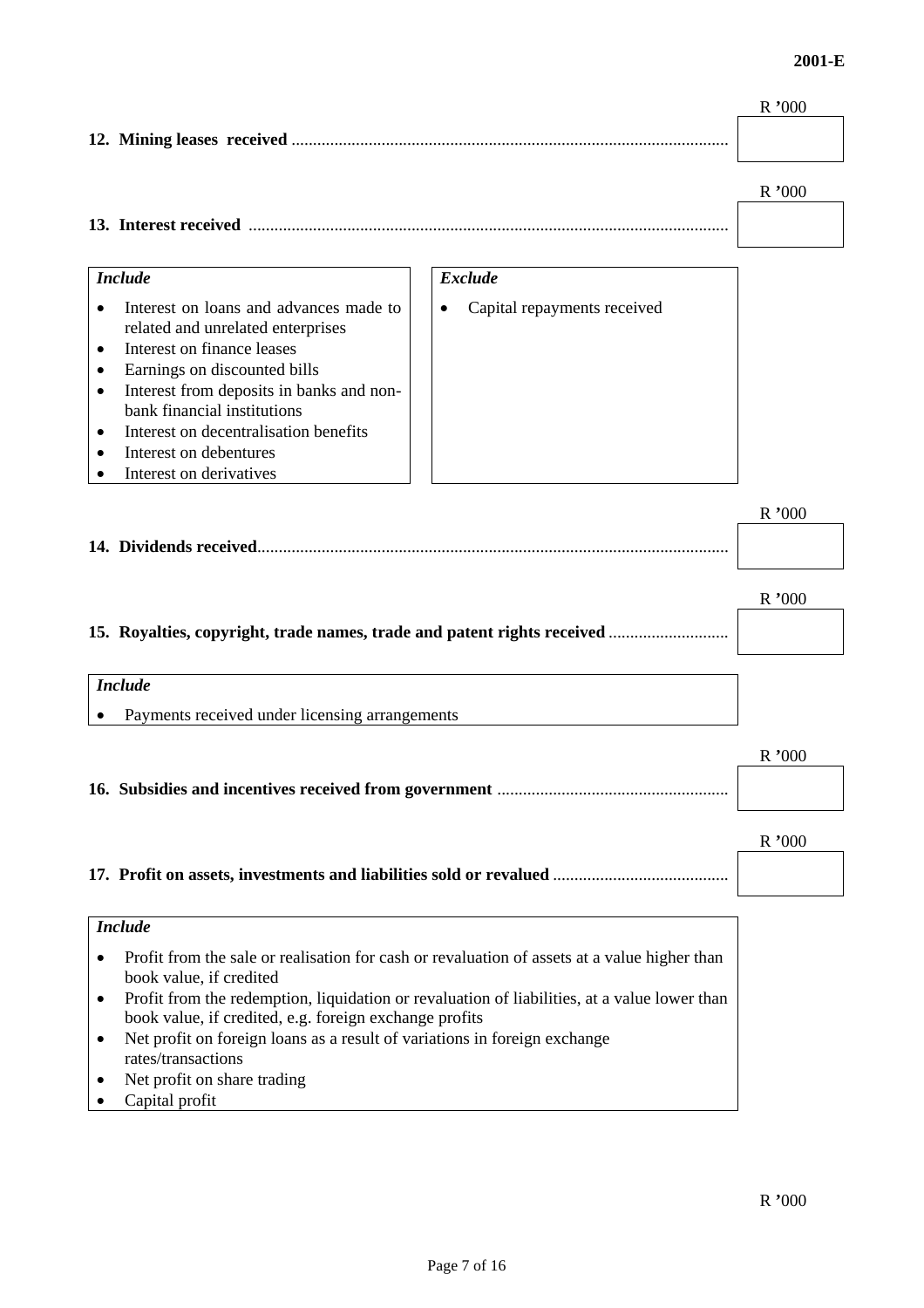#### **2001-E**

|                                                                                |                                                                                              | R '000   |
|--------------------------------------------------------------------------------|----------------------------------------------------------------------------------------------|----------|
|                                                                                |                                                                                              |          |
|                                                                                |                                                                                              |          |
|                                                                                |                                                                                              | R'000    |
|                                                                                |                                                                                              |          |
|                                                                                |                                                                                              |          |
| <b>Include</b>                                                                 | <b>Exclude</b>                                                                               |          |
|                                                                                |                                                                                              |          |
| Interest on loans and advances made to<br>related and unrelated enterprises    | Capital repayments received                                                                  |          |
| Interest on finance leases                                                     |                                                                                              |          |
| Earnings on discounted bills<br>٠                                              |                                                                                              |          |
| Interest from deposits in banks and non-<br>$\bullet$                          |                                                                                              |          |
| bank financial institutions                                                    |                                                                                              |          |
| Interest on decentralisation benefits<br>$\bullet$                             |                                                                                              |          |
| Interest on debentures                                                         |                                                                                              |          |
| Interest on derivatives                                                        |                                                                                              |          |
|                                                                                |                                                                                              | R'000    |
|                                                                                |                                                                                              |          |
|                                                                                |                                                                                              |          |
|                                                                                |                                                                                              |          |
|                                                                                |                                                                                              | $R$ '000 |
|                                                                                | 15. Royalties, copyright, trade names, trade and patent rights received                      |          |
|                                                                                |                                                                                              |          |
| <b>Include</b>                                                                 |                                                                                              |          |
| Payments received under licensing arrangements                                 |                                                                                              |          |
|                                                                                |                                                                                              |          |
|                                                                                |                                                                                              | R'000    |
|                                                                                |                                                                                              |          |
|                                                                                |                                                                                              |          |
|                                                                                |                                                                                              | R'000    |
|                                                                                |                                                                                              |          |
|                                                                                |                                                                                              |          |
|                                                                                |                                                                                              |          |
| <b>Include</b>                                                                 |                                                                                              |          |
|                                                                                | Profit from the sale or realisation for cash or revaluation of assets at a value higher than |          |
| book value, if credited<br>$\bullet$                                           | Profit from the redemption, liquidation or revaluation of liabilities, at a value lower than |          |
| book value, if credited, e.g. foreign exchange profits                         |                                                                                              |          |
| Net profit on foreign loans as a result of variations in foreign exchange<br>٠ |                                                                                              |          |
| rates/transactions                                                             |                                                                                              |          |
| Net profit on share trading                                                    |                                                                                              |          |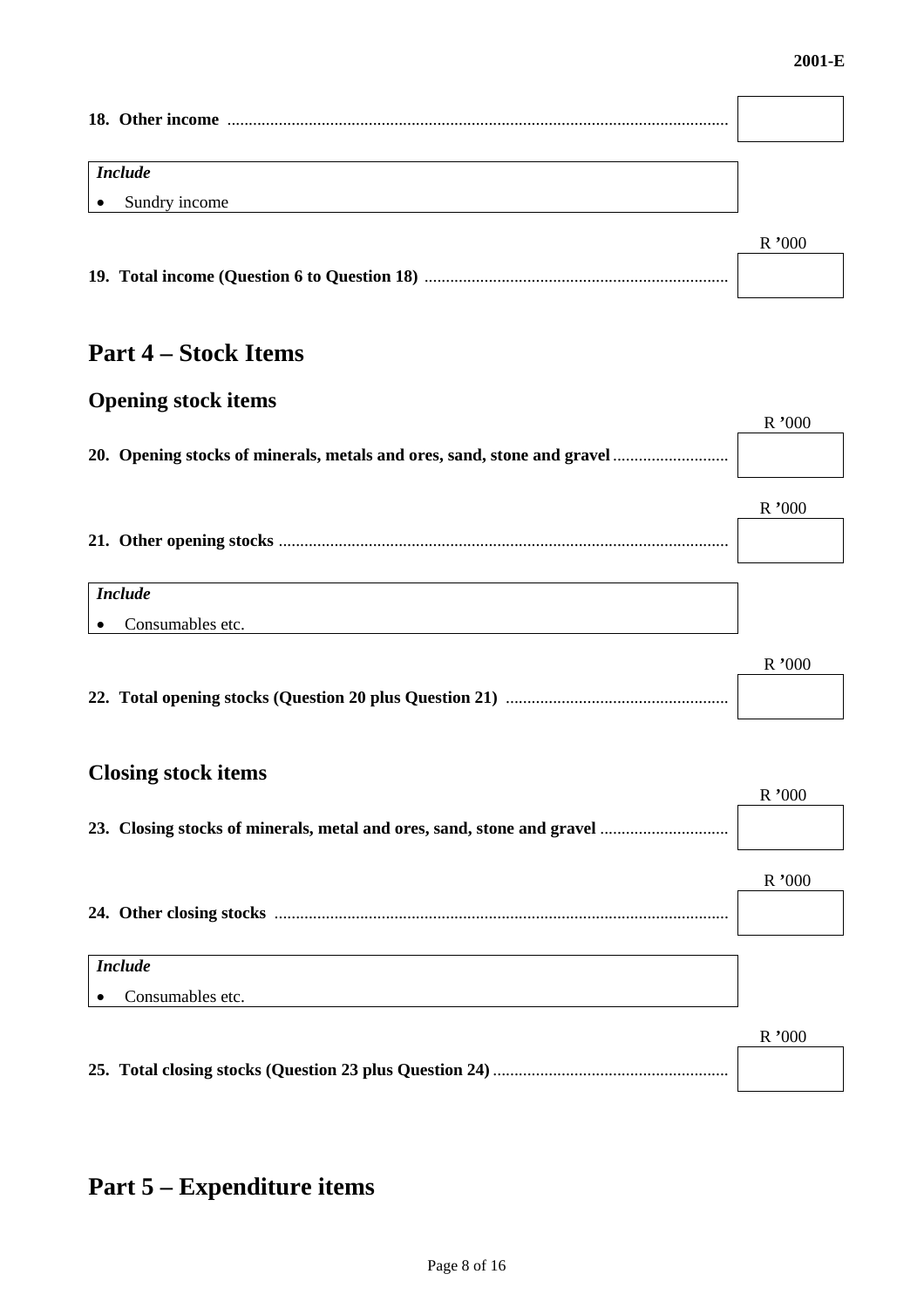r

 $\overline{\phantom{0}}$ 

| <b>Include</b>             |       |
|----------------------------|-------|
| Sundry income<br>$\bullet$ |       |
|                            | R'000 |
|                            |       |

# **Part 4 – Stock Items**

# **Opening stock items**

|                                                                         | R'000 |
|-------------------------------------------------------------------------|-------|
| 20. Opening stocks of minerals, metals and ores, sand, stone and gravel |       |
|                                                                         | R'000 |
|                                                                         |       |
| <b>Include</b>                                                          |       |
| Consumables etc.<br>$\bullet$                                           |       |

|  | $R$ '000 |
|--|----------|
|  |          |

# **Closing stock items**

|                               | R'000 |
|-------------------------------|-------|
|                               |       |
|                               | R'000 |
|                               |       |
| <b>Include</b>                |       |
| Consumables etc.<br>$\bullet$ |       |
|                               | R'000 |
|                               |       |

# **Part 5 – Expenditure items**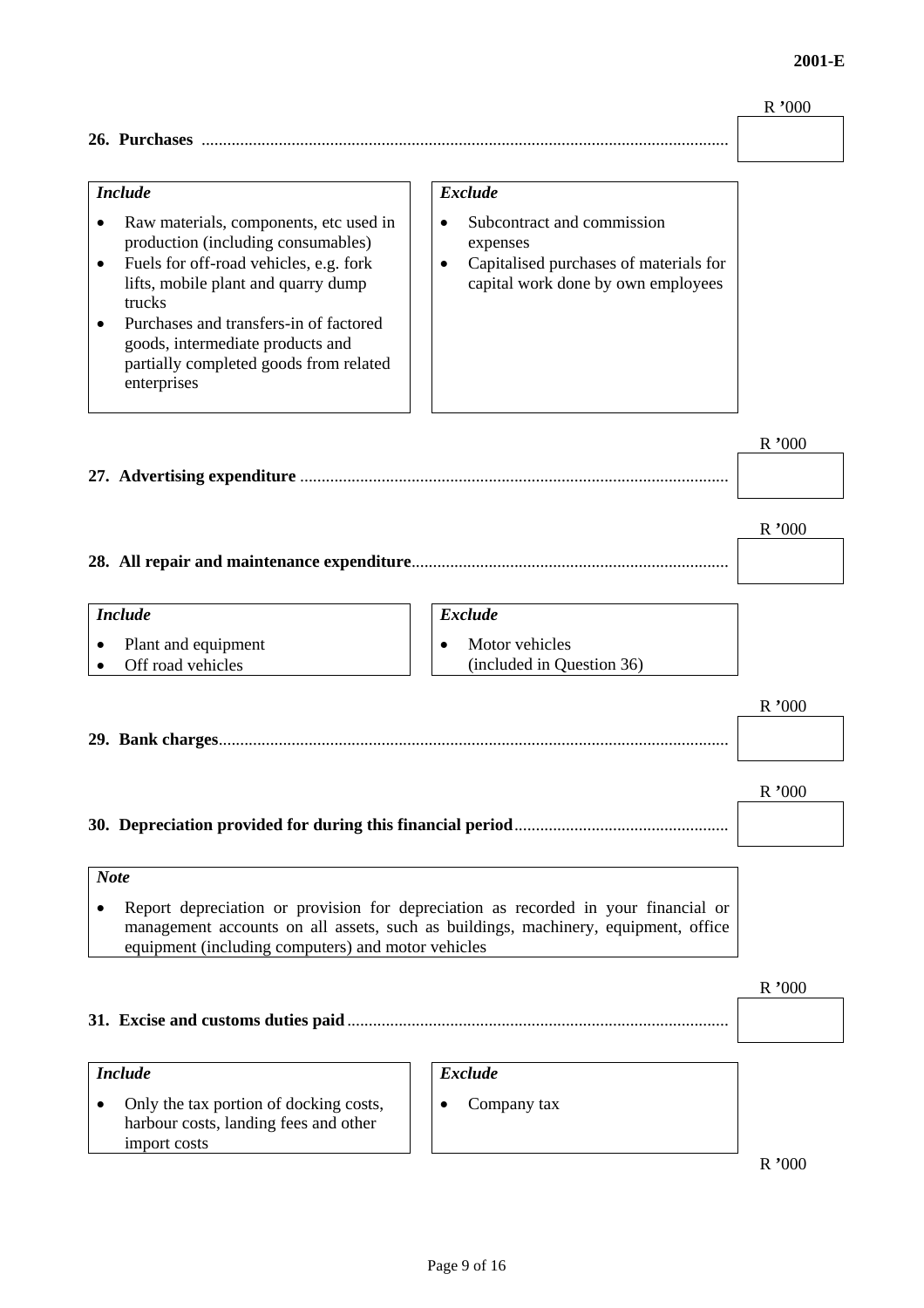#### R **'**000

| 26. | Purchases |  |
|-----|-----------|--|
|     |           |  |

#### *Include*

- Raw materials, components, etc used in production (including consumables)
- Fuels for off-road vehicles, e.g. fork lifts, mobile plant and quarry dump trucks
- Purchases and transfers-in of factored goods, intermediate products and partially completed goods from related enterprises

#### *Exclude*

- Subcontract and commission expenses
- Capitalised purchases of materials for capital work done by own employees

R **'**000

| R '000 |
|--------|
|        |

#### *Include Exclude*

• Plant and equipment  $\parallel \bullet$  Motor vehicles

• Off road vehicles (included in Question 36)

# R **'**000

R **'**000 **30. Depreciation provided for during this financial period**..................................................

#### *Note*  • Report depreciation or provision for depreciation as recorded in your financial or management accounts on all assets, such as buildings, machinery, equipment, office equipment (including computers) and motor vehicles

**29. Bank charges**.......................................................................................................................

|                                                                                                                                |                               | R'000 |
|--------------------------------------------------------------------------------------------------------------------------------|-------------------------------|-------|
| <b>Include</b><br>Only the tax portion of docking costs,<br>$\bullet$<br>harbour costs, landing fees and other<br>import costs | <b>Exclude</b><br>Company tax |       |
|                                                                                                                                |                               |       |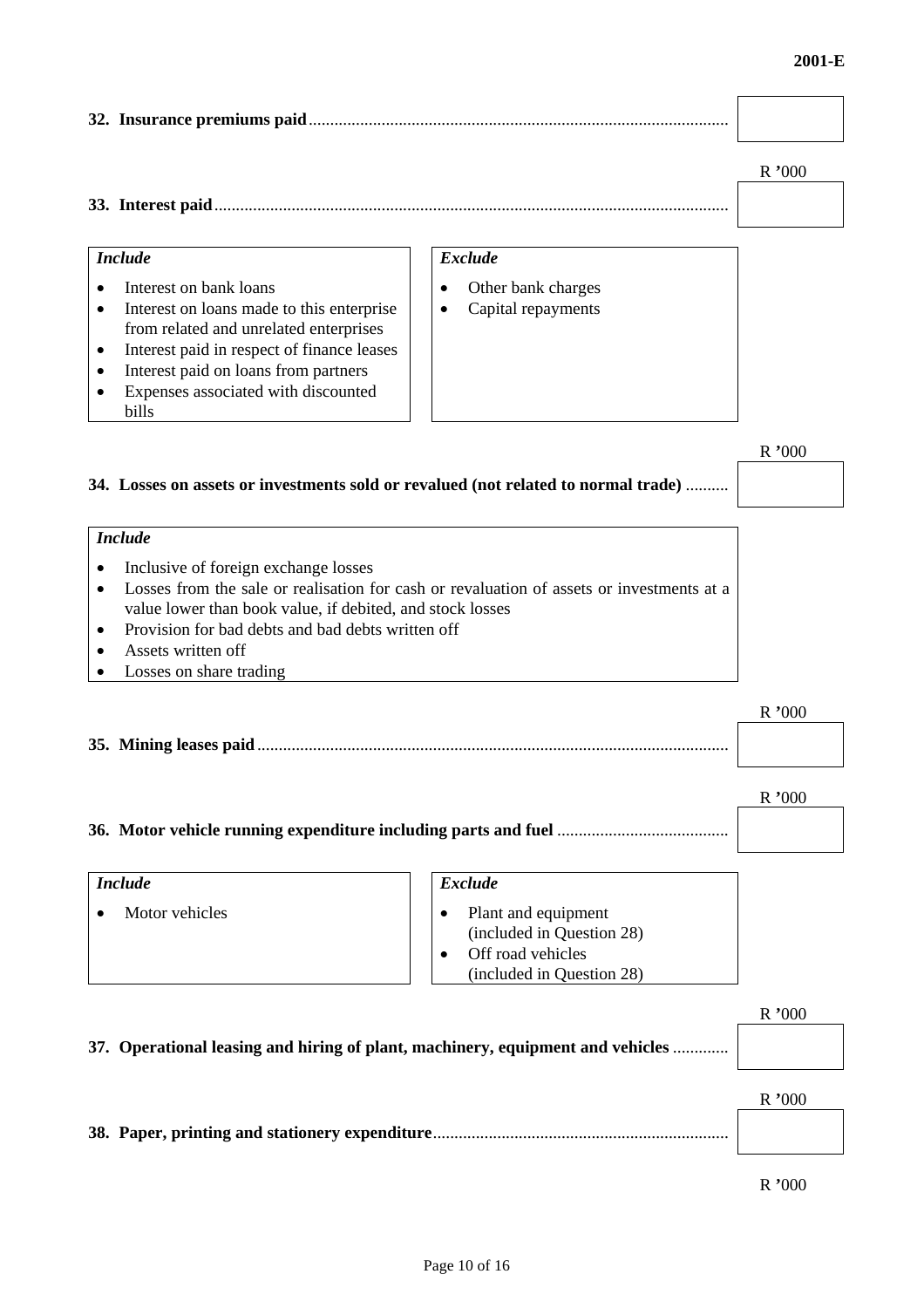# **32. Insurance premiums paid**.................................................................................................. R **'**000

| ີ | 33. Interest |  |
|---|--------------|--|
|---|--------------|--|

#### *Include*

- Interest on bank loans
- Interest on loans made to this enterprise from related and unrelated enterprises
- Interest paid in respect of finance leases
- Interest paid on loans from partners
- Expenses associated with discounted bills

#### *Exclude*

- Other bank charges
- Capital repayments

#### R **'**000

**34. Losses on assets or investments sold or revalued (not related to normal trade)** ..........

### *Include*

- Inclusive of foreign exchange losses
- Losses from the sale or realisation for cash or revaluation of assets or investments at a value lower than book value, if debited, and stock losses
- Provision for bad debts and bad debts written off
- Assets written off
- Losses on share trading

| R'000 |
|-------|
|       |

| <b>Include</b> | Exclude                                                                                            |
|----------------|----------------------------------------------------------------------------------------------------|
| Motor vehicles | Plant and equipment<br>(included in Question 28)<br>Off road vehicles<br>(included in Question 28) |

# R **'**000 **37. Operational leasing and hiring of plant, machinery, equipment and vehicles** ............. R **'**000 **38. Paper, printing and stationery expenditure**.....................................................................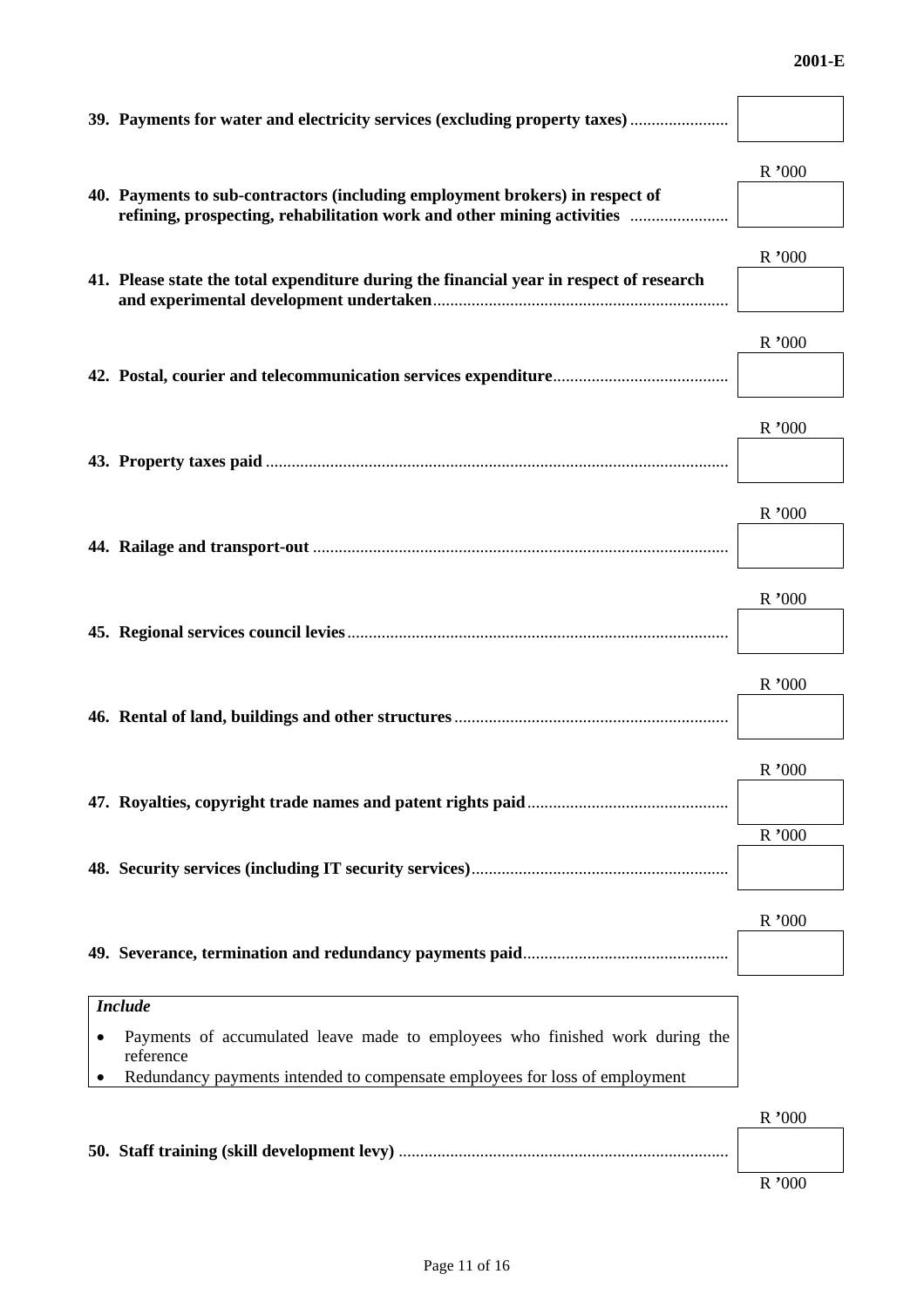#### **2001-E**

| 39. Payments for water and electricity services (excluding property taxes)                                                                             |       |
|--------------------------------------------------------------------------------------------------------------------------------------------------------|-------|
| 40. Payments to sub-contractors (including employment brokers) in respect of<br>refining, prospecting, rehabilitation work and other mining activities | R'000 |
| 41. Please state the total expenditure during the financial year in respect of research                                                                | R'000 |
|                                                                                                                                                        | R'000 |
|                                                                                                                                                        | R'000 |
|                                                                                                                                                        | R'000 |
|                                                                                                                                                        | R'000 |
|                                                                                                                                                        | R'000 |
|                                                                                                                                                        | R'000 |
|                                                                                                                                                        | R'000 |
|                                                                                                                                                        | R'000 |
| <b>Include</b>                                                                                                                                         |       |
| Payments of accumulated leave made to employees who finished work during the<br>reference                                                              |       |
| Redundancy payments intended to compensate employees for loss of employment<br>$\bullet$                                                               |       |
|                                                                                                                                                        | R'000 |
|                                                                                                                                                        | R'000 |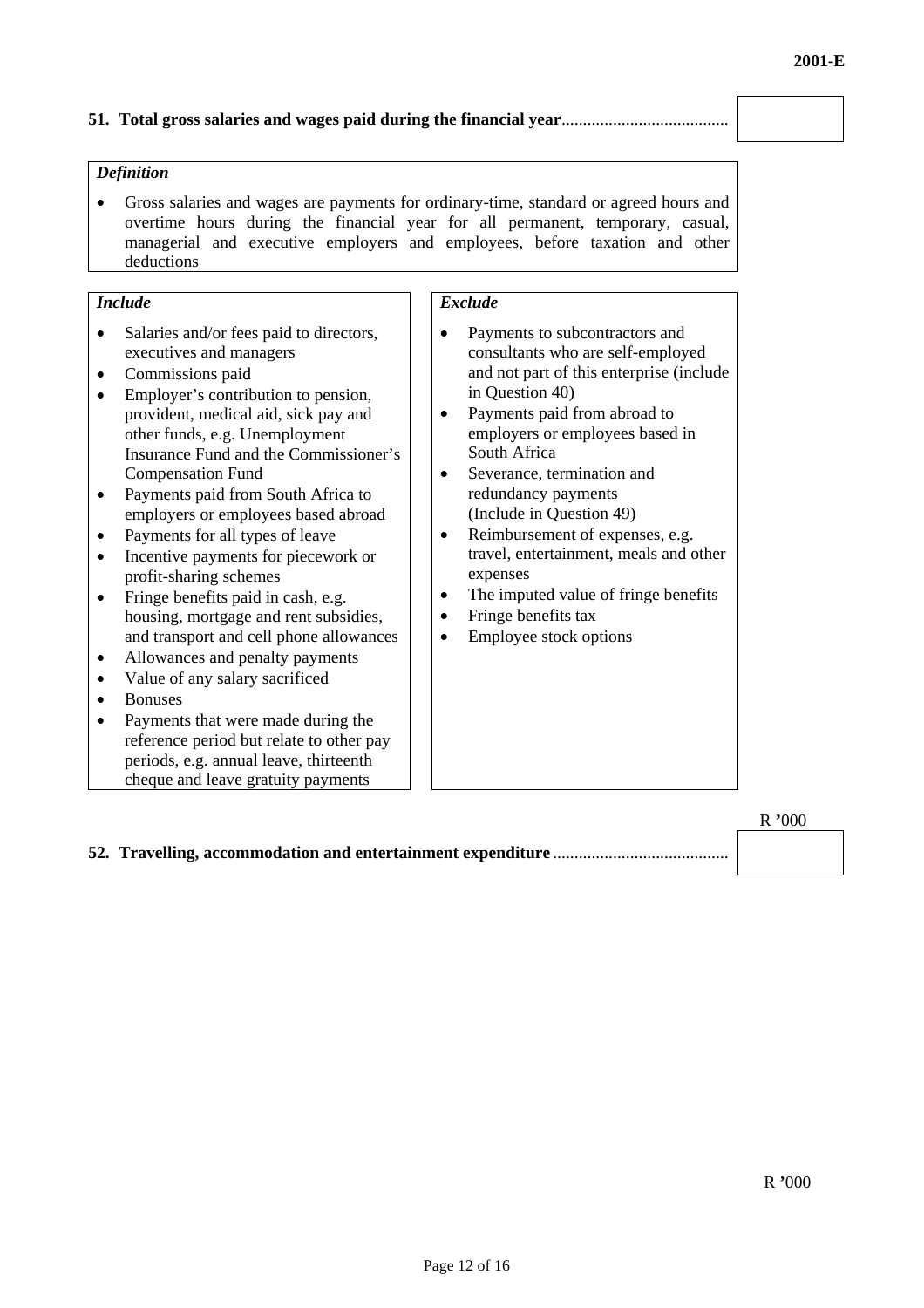#### **51. Total gross salaries and wages paid during the financial year**.......................................

#### *Definition*

• Gross salaries and wages are payments for ordinary-time, standard or agreed hours and overtime hours during the financial year for all permanent, temporary, casual, managerial and executive employers and employees, before taxation and other deductions

#### *Include*

- Salaries and/or fees paid to directors, executives and managers
- Commissions paid
- Employer's contribution to pension, provident, medical aid, sick pay and other funds, e.g. Unemployment Insurance Fund and the Commissioner's Compensation Fund
- Payments paid from South Africa to employers or employees based abroad
- Payments for all types of leave
- Incentive payments for piecework or profit-sharing schemes
- Fringe benefits paid in cash, e.g. housing, mortgage and rent subsidies, and transport and cell phone allowances
- Allowances and penalty payments
- Value of any salary sacrificed
- Bonuses
- Payments that were made during the reference period but relate to other pay periods, e.g. annual leave, thirteenth cheque and leave gratuity payments

#### *Exclude*

- Payments to subcontractors and consultants who are self-employed and not part of this enterprise (include in Question 40)
- Payments paid from abroad to employers or employees based in South Africa
- Severance, termination and redundancy payments (Include in Question 49)
- Reimbursement of expenses, e.g. travel, entertainment, meals and other expenses
- The imputed value of fringe benefits
- Fringe benefits tax
- Employee stock options

**52. Travelling, accommodation and entertainment expenditure** .........................................

R **'**000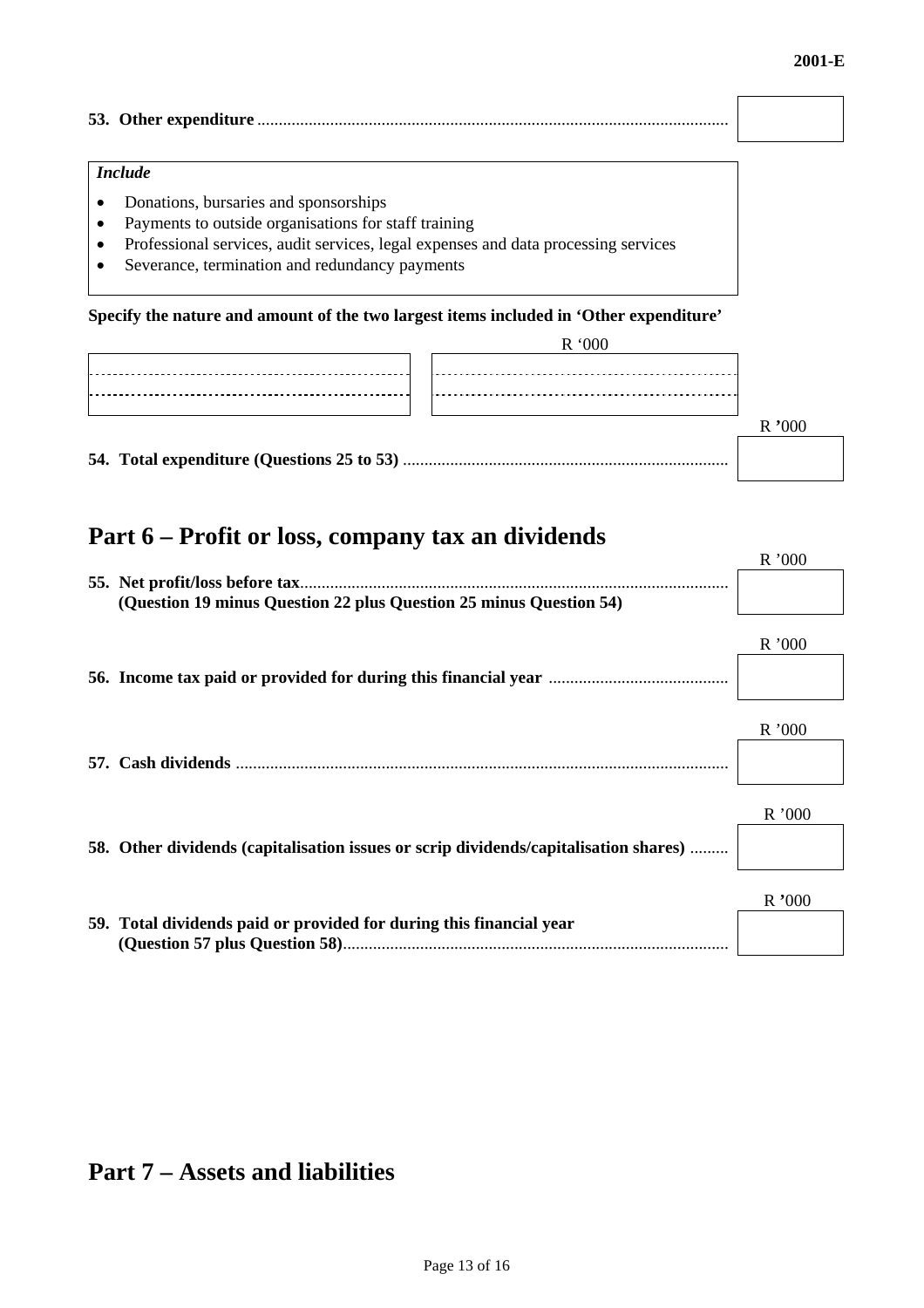$R_{\rm 0.000}$ 

### **53. Other expenditure** ..............................................................................................................

#### *Include*

- Donations, bursaries and sponsorships
- Payments to outside organisations for staff training
- Professional services, audit services, legal expenses and data processing services
- Severance, termination and redundancy payments

**Specify the nature and amount of the two largest items included in 'Other expenditure'** 

| R '000 |  |
|--------|--|
|        |  |
|        |  |
|        |  |
|        |  |

### **Part 6 – Profit or loss, company tax an dividends**

|                                                                                      | N VVV |
|--------------------------------------------------------------------------------------|-------|
|                                                                                      |       |
| (Question 19 minus Question 22 plus Question 25 minus Question 54)                   |       |
|                                                                                      |       |
|                                                                                      | R'000 |
|                                                                                      |       |
|                                                                                      |       |
|                                                                                      |       |
|                                                                                      | R'000 |
|                                                                                      |       |
|                                                                                      |       |
|                                                                                      |       |
|                                                                                      |       |
|                                                                                      | R'000 |
| 58. Other dividends (capitalisation issues or scrip dividends/capitalisation shares) |       |
|                                                                                      |       |
|                                                                                      |       |
|                                                                                      | R'000 |
| 59. Total dividends paid or provided for during this financial year                  |       |
|                                                                                      |       |

### **Part 7 – Assets and liabilities**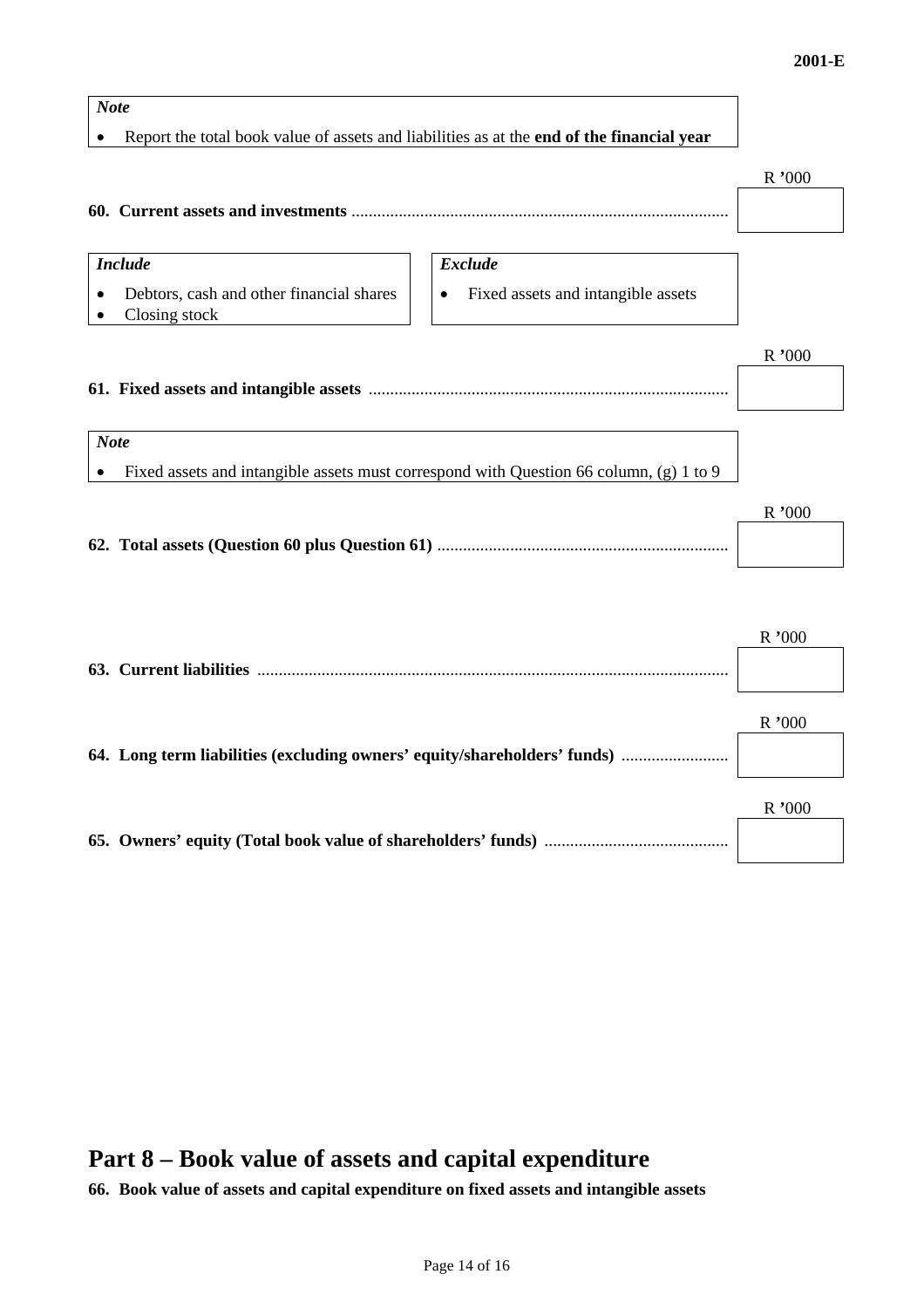# *Note*  • Report the total book value of assets and liabilities as at the **end of the financial year** R **'**000 **60. Current assets and investments** ........................................................................................ *Include* Exclude Exclude • Debtors, cash and other financial shares  $\|\cdot\|$  • Fixed assets and intangible assets • Closing stock R **'**000 **61. Fixed assets and intangible assets** .................................................................................... *Note*  • Fixed assets and intangible assets must correspond with Question 66 column, (g) 1 to 9 R **'**000 **62. Total assets (Question 60 plus Question 61)** .................................................................... R **'**000 **63. Current liabilities** .............................................................................................................. R **'**000 **64. Long term liabilities (excluding owners' equity/shareholders' funds)** ......................... R **'**000

### **Part 8 – Book value of assets and capital expenditure**

**66. Book value of assets and capital expenditure on fixed assets and intangible assets**

**65. Owners' equity (Total book value of shareholders' funds)** ...........................................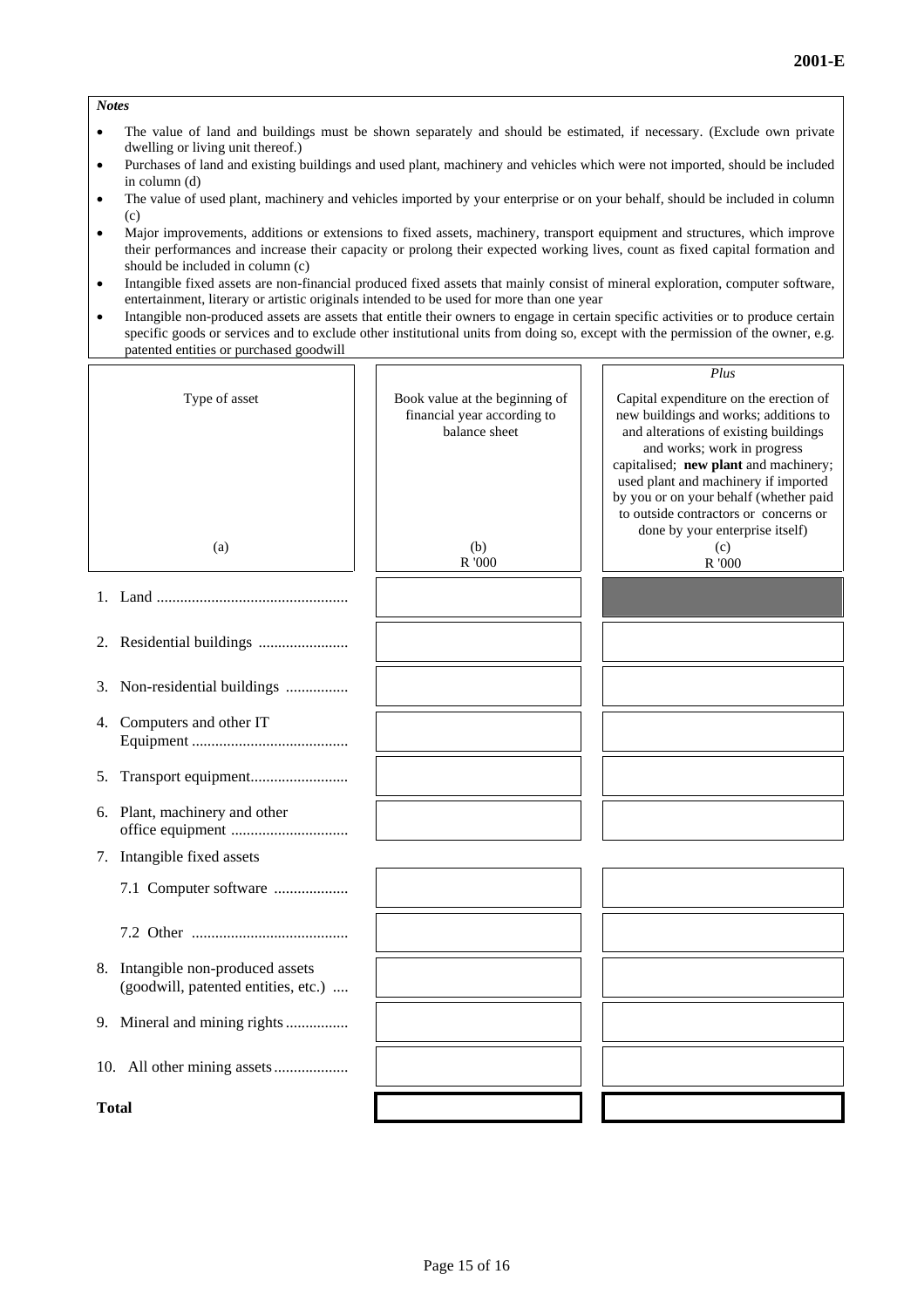#### *Notes*

- The value of land and buildings must be shown separately and should be estimated, if necessary. (Exclude own private dwelling or living unit thereof.)
- Purchases of land and existing buildings and used plant, machinery and vehicles which were not imported, should be included in column (d)
- The value of used plant, machinery and vehicles imported by your enterprise or on your behalf, should be included in column  $(c)$
- Major improvements, additions or extensions to fixed assets, machinery, transport equipment and structures, which improve their performances and increase their capacity or prolong their expected working lives, count as fixed capital formation and should be included in column (c)
- Intangible fixed assets are non-financial produced fixed assets that mainly consist of mineral exploration, computer software, entertainment, literary or artistic originals intended to be used for more than one year
- Intangible non-produced assets are assets that entitle their owners to engage in certain specific activities or to produce certain specific goods or services and to exclude other institutional units from doing so, except with the permission of the owner, e.g. patented entities or purchased goodwill

|                                                                          |                                                                                | Plus                                                                                                                                                                                             |
|--------------------------------------------------------------------------|--------------------------------------------------------------------------------|--------------------------------------------------------------------------------------------------------------------------------------------------------------------------------------------------|
| Type of asset                                                            | Book value at the beginning of<br>financial year according to<br>balance sheet | Capital expenditure on the erection of<br>new buildings and works; additions to<br>and alterations of existing buildings<br>and works; work in progress<br>capitalised; new plant and machinery; |
|                                                                          |                                                                                | used plant and machinery if imported<br>by you or on your behalf (whether paid<br>to outside contractors or concerns or<br>done by your enterprise itself)                                       |
| (a)                                                                      | (b)<br>R '000                                                                  | (c)<br>R '000                                                                                                                                                                                    |
|                                                                          |                                                                                |                                                                                                                                                                                                  |
|                                                                          |                                                                                |                                                                                                                                                                                                  |
| Non-residential buildings<br>3.                                          |                                                                                |                                                                                                                                                                                                  |
| 4. Computers and other IT                                                |                                                                                |                                                                                                                                                                                                  |
| 5.                                                                       |                                                                                |                                                                                                                                                                                                  |
| 6. Plant, machinery and other                                            |                                                                                |                                                                                                                                                                                                  |
| 7. Intangible fixed assets                                               |                                                                                |                                                                                                                                                                                                  |
| 7.1 Computer software                                                    |                                                                                |                                                                                                                                                                                                  |
|                                                                          |                                                                                |                                                                                                                                                                                                  |
| 8. Intangible non-produced assets<br>(goodwill, patented entities, etc.) |                                                                                |                                                                                                                                                                                                  |
| 9. Mineral and mining rights                                             |                                                                                |                                                                                                                                                                                                  |
|                                                                          |                                                                                |                                                                                                                                                                                                  |
| Total                                                                    |                                                                                |                                                                                                                                                                                                  |